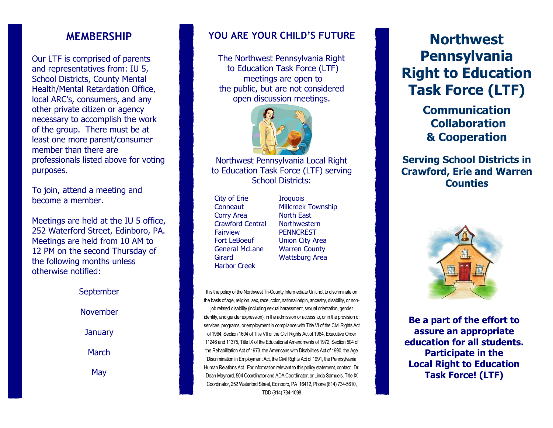## **MEMBERSHIP**

Our LTF is comprised of parents and representatives from: IU 5, School Districts, County Mental Health/Mental Retardation Office, local ARC's, consumers, and any other private citizen or agency necessary to accomplish the work of the group. There must be at least one more parent/consumer member than there are professionals listed above for voting purposes.

To join, attend a meeting and become a member.

Meetings are held at the IU 5 office, 252 Waterford Street, Edinboro, PA. Meetings are held from 10 AM to 12 PM on the second Thursday of the following months unless otherwise notified:

> September November **January** March May

## **YOU ARE YOUR CHILD'S FUTURE**

The Northwest Pennsylvania Right to Education Task Force (LTF) meetings are open to the public, but are not considered open discussion meetings.



#### Northwest Pennsylvania Local Right to Education Task Force (LTF) serving School Districts:

 City of Erie Iroquois Corry Area North East Crawford Central Northwestern Fairview PENNCREST Harbor Creek

 Conneaut Millcreek Township Fort LeBoeuf Union City Area General McLane Warren County Girard Wattsburg Area

It is the policy of the Northwest Tri-County Intermediate Unit not to discriminate on the basis of age, religion, sex, race, color, national origin, ancestry, disability, or nonjob related disability (including sexual harassment, sexual orientation, gender identity, and gender expression), in the admission or access to, or in the provision of services, programs, or employment in compliance with Title VI of the Civil Rights Act of 1964, Section 1604 of Title VII of the Civil Rights Act of 1964, Executive Order 11246 and 11375, Title IX of the Educational Amendments of 1972, Section 504 of the Rehabilitation Act of 1973, the Americans with Disabilities Act of 1990, the Age Discrimination in Employment Act, the Civil Rights Act of 1991, the Pennsylvania Human Relations Act. For information relevant to this policy statement, contact: Dr. Dean Maynard, 504 Coordinator and ADA Coordinator, or Linda Samuels, Title IX Coordinator, 252 Waterford Street, Edinboro, PA 16412, Phone (814) 734-5610, TDD (814) 734-1098

# **Northwest Pennsylvania Right to Education Task Force (LTF)**

**Communication Collaboration & Cooperation**

# **Serving School Districts in Crawford, Erie and Warren Counties**



**Be a part of the effort to assure an appropriate education for all students. Participate in the Local Right to Education Task Force! (LTF)**